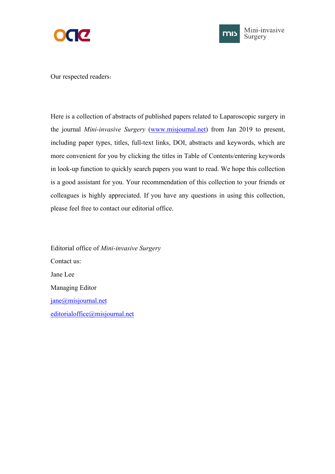



Our respected readers:

Here is a collection of abstracts of published papers related to Laparoscopic surgery in the journal *Mini-invasive Surgery* ([www.misjournal.net\)](http://www.misjournal.net) from Jan 2019 to present, including paper types, titles, full-text links, DOI, abstracts and keywords, which are more convenient for you by clicking the titles in Table of Contents/entering keywords in look-up function to quickly search papers you want to read. We hope this collection is a good assistant for you. Your recommendation of this collection to your friends or colleagues is highly appreciated. If you have any questions in using this collection, please feel free to contact our editorial office.

Editorial office of *Mini-invasive Surgery* Contact us: Jane Lee Managing Editor [jane@misjournal.net](mailto:jane@misjournal.net) [editorialoffice@misjournal.net](mailto:editorialoffice@misjournal.net)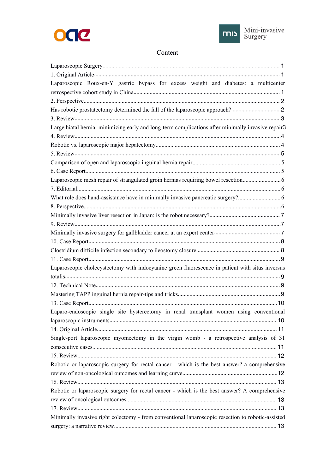



## Content

| Laparoscopic Roux-en-Y gastric bypass for excess weight and diabetes: a multicenter                                                                                                                                            |
|--------------------------------------------------------------------------------------------------------------------------------------------------------------------------------------------------------------------------------|
|                                                                                                                                                                                                                                |
|                                                                                                                                                                                                                                |
| Has robotic prostatectomy determined the fall of the laparoscopic approach?                                                                                                                                                    |
|                                                                                                                                                                                                                                |
| Large hiatal hernia: minimizing early and long-term complications after minimally invasive repair3                                                                                                                             |
|                                                                                                                                                                                                                                |
|                                                                                                                                                                                                                                |
|                                                                                                                                                                                                                                |
|                                                                                                                                                                                                                                |
|                                                                                                                                                                                                                                |
|                                                                                                                                                                                                                                |
|                                                                                                                                                                                                                                |
|                                                                                                                                                                                                                                |
|                                                                                                                                                                                                                                |
|                                                                                                                                                                                                                                |
|                                                                                                                                                                                                                                |
|                                                                                                                                                                                                                                |
|                                                                                                                                                                                                                                |
|                                                                                                                                                                                                                                |
|                                                                                                                                                                                                                                |
| Laparoscopic cholecystectomy with indocyanine green fluorescence in patient with situs inversus                                                                                                                                |
|                                                                                                                                                                                                                                |
|                                                                                                                                                                                                                                |
|                                                                                                                                                                                                                                |
| 10 metabolismus 10 metabolismus 10 metabolismus 10 metabolismus 10 metabolismus 10 metabolismus 10 metabolismus 10 metabolismus 10 metabolismus 10 metabolismus 10 metabolismus 10 metabolismus 10 metabolismus 10 metabolismu |
| Laparo-endoscopic single site hysterectomy in renal transplant women using conventional                                                                                                                                        |
|                                                                                                                                                                                                                                |
|                                                                                                                                                                                                                                |
| Single-port laparoscopic myomectomy in the virgin womb - a retrospective analysis of 31                                                                                                                                        |
|                                                                                                                                                                                                                                |
|                                                                                                                                                                                                                                |
| Robotic or laparoscopic surgery for rectal cancer - which is the best answer? a comprehensive                                                                                                                                  |
|                                                                                                                                                                                                                                |
|                                                                                                                                                                                                                                |
| Robotic or laparoscopic surgery for rectal cancer - which is the best answer? A comprehensive                                                                                                                                  |
|                                                                                                                                                                                                                                |
|                                                                                                                                                                                                                                |
| Minimally invasive right colectomy - from conventional laparoscopic resection to robotic-assisted                                                                                                                              |
|                                                                                                                                                                                                                                |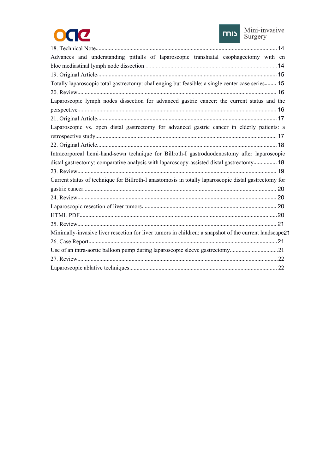



| Advances and understanding pitfalls of laparoscopic transhiatal esophagectomy with en                  |  |
|--------------------------------------------------------------------------------------------------------|--|
|                                                                                                        |  |
|                                                                                                        |  |
| Totally laparoscopic total gastrectomy: challenging but feasible: a single center case series 15       |  |
|                                                                                                        |  |
| Laparoscopic lymph nodes dissection for advanced gastric cancer: the current status and the            |  |
|                                                                                                        |  |
| Laparoscopic vs. open distal gastrectomy for advanced gastric cancer in elderly patients: a            |  |
|                                                                                                        |  |
|                                                                                                        |  |
| Intracorporeal hemi-hand-sewn technique for Billroth-I gastroduodenostomy after laparoscopic           |  |
| distal gastrectomy: comparative analysis with laparoscopy-assisted distal gastrectomy 18               |  |
|                                                                                                        |  |
| Current status of technique for Billroth-I anastomosis in totally laparoscopic distal gastrectomy for  |  |
|                                                                                                        |  |
|                                                                                                        |  |
|                                                                                                        |  |
|                                                                                                        |  |
|                                                                                                        |  |
| Minimally-invasive liver resection for liver tumors in children: a snapshot of the current landscape21 |  |
|                                                                                                        |  |
|                                                                                                        |  |
|                                                                                                        |  |
|                                                                                                        |  |
|                                                                                                        |  |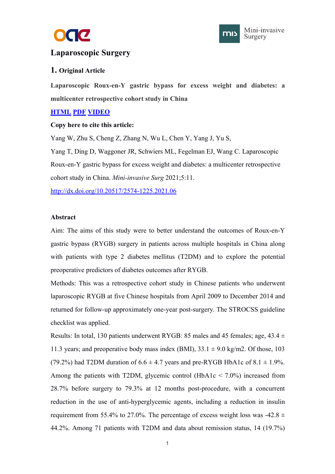



## <span id="page-3-0"></span>**Laparoscopic Surgery**

## **1. Original Article**

**Laparoscopic Roux-en-Y gastric bypass for excess weight and diabetes: a multicenter retrospective cohort study in China**

## **[HTML](https://misjournal.net/article/view/3935) [PDF](https://misjournal.net/article/download/3935) [VIDEO](https://misjournal.net/files/talkvideo/3935.mp4)**

## **Copy here to cite this article:**

Yang W, Zhu S, Cheng Z, Zhang N, Wu L, Chen Y, Yang J, Yu S, Yang T, Ding D, Waggoner JR, Schwiers ML, Fegelman EJ, Wang C. Laparoscopic Roux-en-Y gastric bypass for excess weight and diabetes: a multicenter retrospective cohort study in China. *Mini-invasive Surg* 2021;5:11.

<http://dx.doi.org/10.20517/2574-1225.2021.06>

## **Abstract**

Aim: The aims of this study were to better understand the outcomes of Roux-en-Y gastric bypass (RYGB) surgery in patients across multiple hospitals in China along with patients with type 2 diabetes mellitus (T2DM) and to explore the potential preoperative predictors of diabetes outcomes after RYGB.

Methods: This was a retrospective cohort study in Chinese patients who underwent laparoscopic RYGB at five Chinese hospitals from April 2009 to December 2014 and returned for follow-up approximately one-year post-surgery. The STROCSS guideline checklist was applied.

Results: In total, 130 patients underwent RYGB: 85 males and 45 females; age,  $43.4 \pm 1$ 11.3 years; and preoperative body mass index (BMI),  $33.1 \pm 9.0$  kg/m2. Of those, 103 (79.2%) had T2DM duration of  $6.6 \pm 4.7$  years and pre-RYGB HbA1c of  $8.1 \pm 1.9\%$ . Among the patients with T2DM, glycemic control (HbA1c  $\leq$  7.0%) increased from 28.7% before surgery to 79.3% at 12 months post-procedure, with a concurrent reduction in the use of anti-hyperglycemic agents, including a reduction in insulin requirement from 55.4% to 27.0%. The percentage of excess weight loss was -42.8  $\pm$ 44.2%. Among 71 patients with T2DM and data about remission status, 14 (19.7%)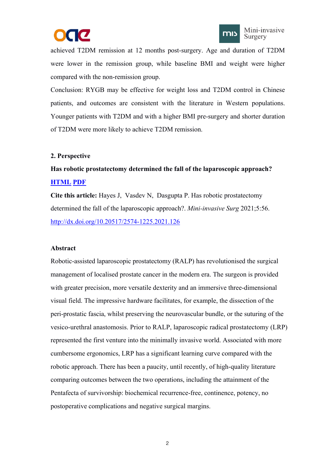



<span id="page-4-0"></span>achieved T2DM remission at 12 months post-surgery. Age and duration of T2DM were lower in the remission group, while baseline BMI and weight were higher compared with the non-remission group.

Conclusion: RYGB may be effective for weight loss and T2DM control in Chinese patients, and outcomes are consistent with the literature in Western populations. Younger patients with T2DM and with a higher BMI pre-surgery and shorter duration of T2DM were more likely to achieve T2DM remission.

## **2. Perspective**

## **Has robotic prostatectomy determined the fall of the laparoscopic approach? [HTML](https://misjournal.net/article/view/4469) [PDF](https://misjournal.net/article/download/4469)**

**Cite this article:** Hayes J, Vasdev N, Dasgupta P. Has robotic prostatectomy determined the fall of the laparoscopic approach?. *Mini-invasive Surg* 2021;5:56. <http://dx.doi.org/10.20517/2574-1225.2021.126>

#### **Abstract**

Robotic-assisted laparoscopic prostatectomy (RALP) has revolutionised the surgical management of localised prostate cancer in the modern era. The surgeon is provided with greater precision, more versatile dexterity and an immersive three-dimensional visual field. The impressive hardware facilitates, for example, the dissection of the peri-prostatic fascia, whilst preserving the neurovascular bundle, or the suturing of the vesico-urethral anastomosis. Prior to RALP, laparoscopic radical prostatectomy (LRP) represented the first venture into the minimally invasive world. Associated with more cumbersome ergonomics, LRP has a significant learning curve compared with the robotic approach. There has been a paucity, until recently, of high-quality literature comparing outcomes between the two operations, including the attainment of the Pentafecta of survivorship: biochemical recurrence-free, continence, potency, no postoperative complications and negative surgical margins.

2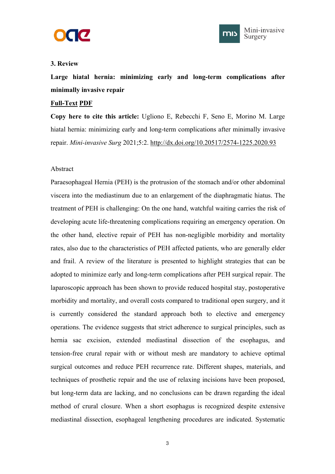



## <span id="page-5-0"></span>**3. Review**

Large hiatal hernia: minimizing early and long-term complications after **minimally invasive repair**

## **[Full-Text](https://misjournal.net/article/view/3858) [PDF](https://oaepublishstorage.blob.core.windows.net/94abac4c-9de5-4b2e-9765-3b559d8ff02d/3858.pdf)**

**Copy here to cite this article:** Ugliono E, Rebecchi F, Seno E, Morino M. Large hiatal hernia: minimizing early and long-term complications after minimally invasive repair. *Mini-invasive Surg* 2021;5:2. <http://dx.doi.org/10.20517/2574-1225.2020.93>

## Abstract

Paraesophageal Hernia (PEH) is the protrusion of the stomach and/or other abdominal viscera into the mediastinum due to an enlargement of the diaphragmatic hiatus. The treatment of PEH is challenging: On the one hand, watchful waiting carries the risk of developing acute life-threatening complications requiring an emergency operation. On the other hand, elective repair of PEH has non-negligible morbidity and mortality rates, also due to the characteristics of PEH affected patients, who are generally elder and frail. A review of the literature is presented to highlight strategies that can be adopted to minimize early and long-term complications after PEH surgical repair. The laparoscopic approach has been shown to provide reduced hospital stay, postoperative morbidity and mortality, and overall costs compared to traditional open surgery, and it is currently considered the standard approach both to elective and emergency operations. The evidence suggests that strict adherence to surgical principles, such as hernia sac excision, extended mediastinal dissection of the esophagus, and tension-free crural repair with or without mesh are mandatory to achieve optimal surgical outcomes and reduce PEH recurrence rate. Different shapes, materials, and techniques of prosthetic repair and the use of relaxing incisions have been proposed, but long-term data are lacking, and no conclusions can be drawn regarding the ideal method of crural closure. When a short esophagus is recognized despite extensive mediastinal dissection, esophageal lengthening procedures are indicated. Systematic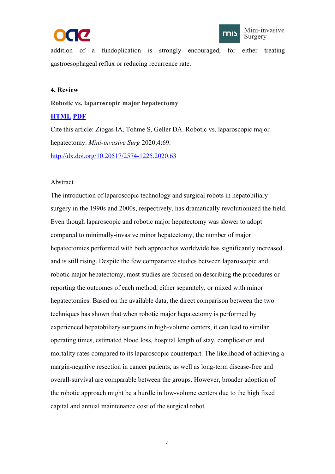



<span id="page-6-0"></span>addition of a fundoplication is strongly encouraged, for either treating gastroesophageal reflux or reducing recurrence rate.

## **4. Review**

## **Robotic vs. laparoscopic major hepatectomy**

## **[HTML](https://misjournal.net/article/view/3705) [PDF](https://oaepublishstorage.blob.core.windows.net/2ea71e84-ba1e-4b78-a4d3-c37482333b37/3705.pdf)**

Cite this article: Ziogas IA, Tohme S, Geller DA. Robotic vs. laparoscopic major hepatectomy. *Mini-invasive Surg* 2020;4:69. <http://dx.doi.org/10.20517/2574-1225.2020.63>

## Abstract

The introduction of laparoscopic technology and surgical robots in hepatobiliary surgery in the 1990s and 2000s, respectively, has dramatically revolutionized the field. Even though laparoscopic and robotic major hepatectomy was slower to adopt compared to minimally-invasive minor hepatectomy, the number of major hepatectomies performed with both approaches worldwide has significantly increased and is still rising. Despite the few comparative studies between laparoscopic and robotic major hepatectomy, most studies are focused on describing the procedures or reporting the outcomes of each method, either separately, or mixed with minor hepatectomies. Based on the available data, the direct comparison between the two techniques has shown that when robotic major hepatectomy is performed by experienced hepatobiliary surgeons in high-volume centers, it can lead to similar operating times, estimated blood loss, hospital length of stay, complication and mortality rates compared to its laparoscopic counterpart. The likelihood of achieving a margin-negative resection in cancer patients, as well as long-term disease-free and overall-survival are comparable between the groups.However, broader adoption of the robotic approach might be a hurdle in low-volume centers due to the high fixed capital and annual maintenance cost of the surgical robot.

4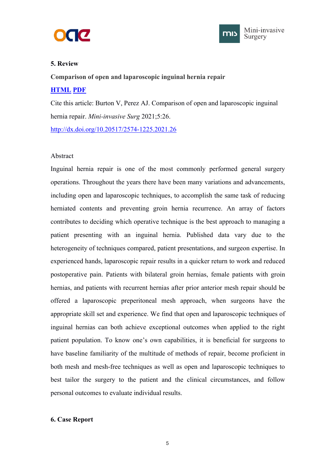



## <span id="page-7-0"></span>**5. Review**

**Comparison of open and laparoscopic inguinal hernia repair [HTML](https://misjournal.net/article/view/4099) [PDF](https://oaepublishstorage.blob.core.windows.net/6070fa7d-5b2a-4cb9-b341-d4a780fda696/4099.pdf)**

Cite this article: Burton V, Perez AJ. Comparison of open and laparoscopic inguinal hernia repair. *Mini-invasive Surg* 2021;5:26. <http://dx.doi.org/10.20517/2574-1225.2021.26>

## Abstract

Inguinal hernia repair is one of the most commonly performed general surgery operations. Throughout the years there have been many variations and advancements, including open and laparoscopic techniques, to accomplish the same task of reducing herniated contents and preventing groin hernia recurrence. An array of factors contributes to deciding which operative technique is the best approach to managing a patient presenting with an inguinal hernia. Published data vary due to the heterogeneity of techniques compared, patient presentations, and surgeon expertise. In experienced hands, laparoscopic repair results in a quicker return to work and reduced postoperative pain. Patients with bilateral groin hernias, female patients with groin hernias, and patients with recurrent hernias after prior anterior mesh repair should be offered alaparoscopic preperitoneal mesh approach, when surgeons have the appropriate skill set and experience. We find that open and laparoscopic techniques of inguinal hernias can both achieve exceptional outcomes when applied to the right patient population. To know one's own capabilities, it is beneficial for surgeons to have baseline familiarity of the multitude of methods of repair, become proficient in both mesh and mesh-free techniques as well as open and laparoscopic techniques to best tailor the surgery to the patient and the clinical circumstances, and follow personal outcomes to evaluate individual results.

## **6. Case Report**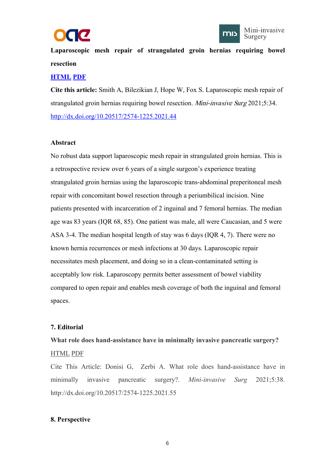



<span id="page-8-0"></span>**Laparoscopic mesh repair of strangulated groin hernias requiring bowel resection**

## **[HTML](https://misjournal.net/article/view/4189) [PDF](https://misjournal.net/article/download/4189)**

**Cite this article:** Smith A, Bilezikian J, Hope W,Fox S. Laparoscopic mesh repair of strangulated groin hernias requiring bowel resection. Mini-invasive Surg 2021;5:34. <http://dx.doi.org/10.20517/2574-1225.2021.44>

## **Abstract**

No robust data support laparoscopic mesh repair in strangulated groin hernias. This is a retrospective review over 6 years of a single surgeon's experience treating strangulated groin hernias using the laparoscopic trans-abdominal preperitoneal mesh repair with concomitant bowel resection through a periumbilical incision. Nine patients presented with incarceration of 2 inguinal and 7 femoral hernias. The median age was 83 years (IQR 68, 85). One patient was male, all were Caucasian, and 5 were ASA 3-4. The median hospital length of stay was 6 days(IQR 4, 7). There were no known hernia recurrences or mesh infections at 30 days. Laparoscopic repair necessitates mesh placement, and doing so in a clean-contaminated setting is acceptably low risk. Laparoscopy permits better assessment of bowel viability compared to open repair and enables mesh coverage of both the inguinal and femoral spaces.

## **7. Editorial**

## **What role does hand-assistance have in minimally invasive pancreatic surgery?**

## [HTML](https://misjournal.net/article/view/4229) [PDF](https://misjournal.net/article/download/4229)

Cite This Article: Donisi G, Zerbi A. What role does hand-assistance have in minimally invasive pancreatic surgery?. *Mini-invasive Surg* 2021;5:38. http://dx.doi.org/10.20517/2574-1225.2021.55

## **8. Perspective**

6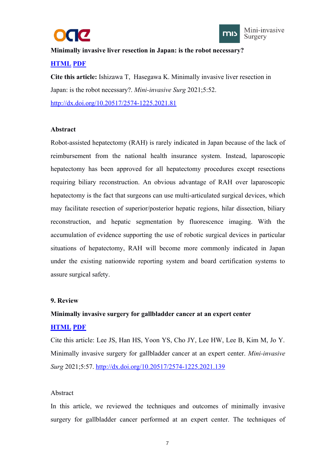



<span id="page-9-0"></span>**Minimally invasive liver resection in Japan:is the robot necessary?**

## **[HTML](https://misjournal.net/article/view/4392) [PDF](https://misjournal.net/article/download/4392)**

**Cite this article:** Ishizawa T, Hasegawa K. Minimally invasive liver resection in Japan: is the robot necessary?. *Mini-invasive Surg* 2021;5:52.

<http://dx.doi.org/10.20517/2574-1225.2021.81>

## **Abstract**

Robot-assisted hepatectomy (RAH) is rarely indicated in Japan because of the lack of reimbursement from the national health insurance system. Instead, laparoscopic hepatectomy has been approved for all hepatectomy procedures except resections requiring biliary reconstruction. An obvious advantage of RAH over laparoscopic hepatectomy is the fact that surgeons can use multi-articulated surgical devices, which may facilitate resection of superior/posterior hepatic regions, hilar dissection, biliary reconstruction, and hepatic segmentation by fluorescence imaging. With the accumulation of evidence supporting the use of robotic surgical devices in particular situations of hepatectomy, RAH will become more commonly indicated in Japan under the existing nationwide reporting system and board certification systems to assure surgical safety.

## **9. Review**

## **Minimally invasive surgery for gallbladder cancer at an expert center**

## **[HTML](https://misjournal.net/article/view/4476) [PDF](https://misjournal.net/article/download/4476)**

Cite this article: Lee JS, Han HS, Yoon YS, Cho JY, Lee HW, Lee B, Kim M, Jo Y. Minimally invasive surgery for gallbladder cancer atan expert center. *Mini-invasive Surg* 2021;5:57. <http://dx.doi.org/10.20517/2574-1225.2021.139>

## Abstract

In this article, we reviewed the techniques and outcomes of minimally invasive surgery for gallbladder cancer performed at an expert center. The techniques of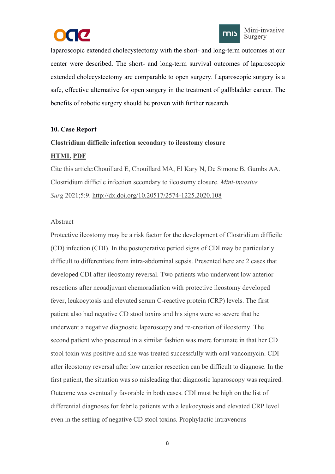



<span id="page-10-0"></span>laparoscopic extended cholecystectomy with the short- and long-term outcomes at our center were described. The short- and long-term survival outcomes of laparoscopic extended cholecystectomy are comparable to open surgery. Laparoscopic surgery is a safe, effective alternative for open surgery in the treatment of gallbladder cancer. The benefits of robotic surgery should be proven with further research.

## **10. Case Report**

## **Clostridium difficile infection secondary to ileostomy closure**

## **[HTML](https://misjournal.net/article/view/3933) [PDF](https://misjournal.net/article/download/3933)**

Cite this article:Chouillard E, Chouillard MA, El Kary N, De Simone B, Gumbs AA. Clostridium difficile infection secondary to ileostomy closure. *Mini-invasive Surg* 2021;5:9. <http://dx.doi.org/10.20517/2574-1225.2020.108>

## Abstract

Protective ileostomy may be a risk factor for the development of Clostridium difficile (CD) infection (CDI). In the postoperative period signs of CDI may be particularly difficult to differentiate from intra-abdominal sepsis. Presented here are 2 cases that developed CDI after ileostomy reversal. Two patients who underwent low anterior resections after neoadjuvant chemoradiation with protective ileostomy developed fever, leukocytosis and elevated serum C-reactive protein (CRP) levels. The first patient also had negative CD stool toxins and his signs were so severe that he underwent a negative diagnostic laparoscopy and re-creation of ileostomy. The second patient who presented in a similar fashion was more fortunate in that her CD stool toxin was positive and she was treated successfully with oral vancomycin. CDI after ileostomy reversal after low anterior resection can be difficult to diagnose. In the first patient, the situation was so misleading that diagnostic laparoscopy was required. Outcome was eventually favorable in both cases. CDI must be high on the list of differential diagnoses for febrile patients with a leukocytosis and elevated CRP level even in the setting of negative CD stool toxins. Prophylactic intravenous

8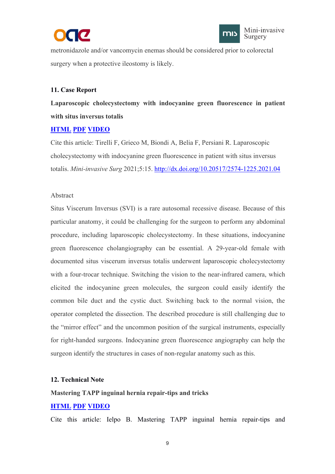



<span id="page-11-0"></span>metronidazole and/or vancomycin enemas should be considered prior to colorectal surgery when a protective ileostomy is likely.

## **11. Case Report**

**Laparoscopic cholecystectomy with indocyanine green fluorescence in patient with situs inversus totalis**

## **[HTML](https://misjournal.net/article/view/3980) [PDF](https://misjournal.net/article/download/3980) [VIDEO](https://misjournal.net/files/talkvideo/3980.mp4)**

Cite this article: Tirelli F, Grieco M, Biondi A, Belia F, Persiani R. Laparoscopic cholecystectomy with indocyanine green fluorescence in patient with situsinversus totalis. *Mini-invasive Surg* 2021;5:15. <http://dx.doi.org/10.20517/2574-1225.2021.04>

## Abstract

Situs Viscerum Inversus (SVI) is a rare autosomal recessive disease. Because of this particular anatomy, it could be challenging for the surgeon to perform any abdominal procedure, including laparoscopic cholecystectomy. In these situations, indocyanine green fluorescence cholangiography can be essential. A 29-year-old female with documented situs viscerum inversus totalis underwent laparoscopic cholecystectomy with a four-trocar technique. Switching the vision to the near-infrared camera, which elicited the indocyanine green molecules, the surgeon could easily identify the common bile duct and the cystic duct. Switching back to the normal vision, the operator completed the dissection. The described procedure is still challenging due to the "mirror effect" and the uncommon position of the surgical instruments, especially for right-handed surgeons. Indocyanine green fluorescence angiography can help the surgeon identify the structures in cases of non-regular anatomy such as this.

#### **12. Technical Note**

#### **Mastering TAPP inguinal hernia repair-tips and tricks**

## **[HTML](https://misjournal.net/article/view/3934) [PDF](https://misjournal.net/article/download/3934) [VIDEO](https://misjournal.net/files/talkvideo/3934.mp4)**

Cite this article: Ielpo B. Mastering TAPP inguinal hernia repair-tips and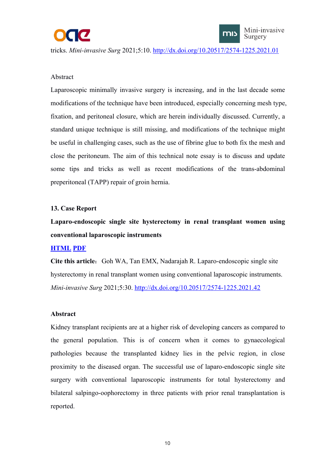<span id="page-12-0"></span>



## Abstract

Laparoscopic minimally invasive surgery is increasing, and in the last decade some modifications of the technique have been introduced, especially concerning mesh type, fixation, and peritoneal closure, which are herein individually discussed. Currently, a standard unique technique is still missing, and modifications of the technique might be useful in challenging cases, such as the use of fibrine glue to both fix the mesh and close the peritoneum. The aim of this technical note essay is to discuss and update some tips and tricks as well as recent modifications of the trans-abdominal preperitoneal (TAPP) repair of groin hernia.

## **13. Case Report**

**Laparo-endoscopic single site hysterectomy in renal transplant women using conventional laparoscopic instruments**

## **[HTML](https://misjournal.net/article/view/4072) [PDF](https://misjournal.net/article/download/4072)**

**Cite this article:** Goh WA, Tan EMX, Nadarajah R. Laparo-endoscopic single site hysterectomy in renal transplant women using conventional laparoscopic instruments. *Mini-invasive Surg* 2021;5:30. <http://dx.doi.org/10.20517/2574-1225.2021.42>

#### **Abstract**

Kidney transplant recipients are at a higher risk of developing cancers as compared to the general population. This is of concern when it comes to gynaecological pathologies because the transplanted kidney lies in the pelvic region, in close proximity to the diseased organ. The successful use of laparo-endoscopic single site surgery with conventional laparoscopic instruments for total hysterectomy and bilateral salpingo-oophorectomy in three patients with prior renal transplantation is reported.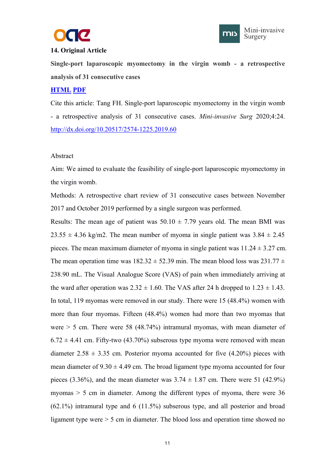



## <span id="page-13-0"></span>**14. Original Article**

**Single-port laparoscopic myomectomy in the virgin womb - a retrospective analysis of 31 consecutive cases**

## **[HTML](https://misjournal.net/article/view/3426) [PDF](https://oaepublishstorage.blob.core.windows.net/18bc0f77-39f7-4bef-a231-67358bbf04c0/3426.pdf)**

Cite this article: Tang FH. Single-port laparoscopic myomectomy in the virgin womb - a retrospective analysis of 31 consecutive cases. *Mini-invasive Surg* 2020;4:24. <http://dx.doi.org/10.20517/2574-1225.2019.60>

## Abstract

Aim: We aimed to evaluate the feasibility of single-port laparoscopic myomectomy in the virgin womb.

Methods: A retrospective chart review of 31 consecutive cases between November 2017 and October 2019 performed by a single surgeon was performed.

Results: The mean age of patient was  $50.10 \pm 7.79$  years old. The mean BMI was  $23.55 \pm 4.36$  kg/m2. The mean number of myoma in single patient was  $3.84 \pm 2.45$ pieces. The mean maximum diameter of myoma in single patient was  $11.24 \pm 3.27$  cm. The mean operation time was  $182.32 \pm 52.39$  min. The mean blood loss was  $231.77 \pm 1.5$ 238.90 mL. The Visual Analogue Score (VAS) of pain when immediately arriving at the ward after operation was  $2.32 \pm 1.60$ . The VAS after 24 h dropped to  $1.23 \pm 1.43$ . In total, 119 myomas were removed in our study. There were 15 (48.4%) women with more than four myomas. Fifteen (48.4%) women had more than two myomas that were  $> 5$  cm. There were 58 (48.74%) intramural myomas, with mean diameter of  $6.72 \pm 4.41$  cm. Fifty-two (43.70%) subserous type myoma were removed with mean diameter  $2.58 \pm 3.35$  cm. Posterior myoma accounted for five  $(4.20\%)$  pieces with mean diameter of  $9.30 \pm 4.49$  cm. The broad ligament type myoma accounted for four pieces (3.36%), and the mean diameter was  $3.74 \pm 1.87$  cm. There were 51 (42.9%) myomas > 5 cm in diameter. Among the different types of myoma, there were 36 (62.1%) intramural type and 6 (11.5%) subserous type, and all posterior and broad ligament type were > 5 cm in diameter. The blood loss and operation time showed no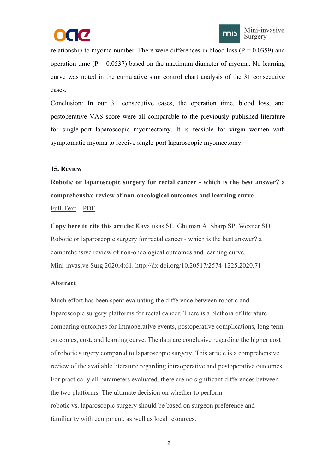



<span id="page-14-0"></span>relationship to myoma number. There were differences in blood loss ( $P = 0.0359$ ) and operation time ( $P = 0.0537$ ) based on the maximum diameter of myoma. No learning curve was noted in the cumulative sum control chart analysis of the 31 consecutive cases.

Conclusion: In our 31 consecutive cases, the operation time, blood loss, and postoperative VAS score were all comparable to the previously published literature for single-port laparoscopic myomectomy. It is feasible for virgin women with symptomatic myoma to receive single-port laparoscopic myomectomy.

## **15. Review**

**Robotic or laparoscopic surgery for rectal cancer - which is the bestanswer? a comprehensive review of non-oncological outcomes and learning curve** [Full-Text](https://misjournal.net/article/view/3640) [PDF](https://oaepublishstorage.blob.core.windows.net/e3558a4b-54bb-4593-bd6c-434e320f4fa8/3640.pdf)

**Copy here to cite this article:** Kavalukas SL, Ghuman A, Sharp SP, Wexner SD. Robotic or laparoscopic surgery for rectal cancer - which is the bestanswer? a comprehensive review of non-oncological outcomes and learning curve. Mini-invasive Surg 2020;4:61. http://dx.doi.org/10.20517/2574-1225.2020.71

## **Abstract**

Much effort has been spent evaluating the difference between robotic and laparoscopic surgery platforms for rectal cancer. There is a plethora of literature comparing outcomes for intraoperative events, postoperative complications, long term outcomes, cost, and learning curve. The data are conclusive regarding the higher cost of robotic surgery compared to laparoscopic surgery. This article is a comprehensive review of the available literature regarding intraoperative and postoperative outcomes. For practically all parameters evaluated, there are no significant differences between the two platforms. The ultimate decision on whether to perform robotic vs. laparoscopic surgery should be based on surgeon preference and familiarity with equipment, as well as local resources.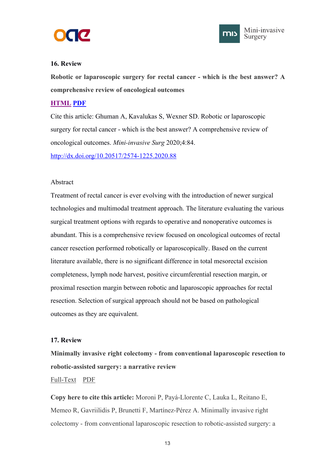



## <span id="page-15-0"></span>**16. Review**

**Robotic or laparoscopic surgery for rectal cancer - which is the best answer? A comprehensive review of oncological outcomes**

## **[HTML](https://misjournal.net/article/view/3776) [PDF](https://oaepublishstorage.blob.core.windows.net/8407140a-3cd4-4849-815a-22081eec3b9c/3776.pdf)**

Cite this article: Ghuman A, Kavalukas S, Wexner SD. Robotic or laparoscopic surgery for rectal cancer - which is the bestanswer? A comprehensive review of oncological outcomes. *Mini-invasive Surg* 2020;4:84.

<http://dx.doi.org/10.20517/2574-1225.2020.88>

## Abstract

Treatment of rectal cancer is ever evolving with the introduction of newer surgical technologies and multimodal treatment approach. The literature evaluating the various surgical treatment options with regards to operative and nonoperative outcomes is abundant. This is a comprehensive review focused on oncological outcomes of rectal cancer resection performed robotically or laparoscopically. Based on the current literature available, there is no significant difference in total mesorectal excision completeness, lymph node harvest, positive circumferential resection margin, or proximal resection margin between robotic and laparoscopic approaches for rectal resection. Selection of surgical approach should not be based on pathological outcomes as they are equivalent.

## **17. Review**

**Minimally invasive right colectomy - from conventional laparoscopic resection to robotic-assisted surgery: a narrative review**

## [Full-Text](https://misjournal.net/article/view/3284) [PDF](https://oaepublishstorage.blob.core.windows.net/f5d267af-f885-41bc-83ac-cf51035d926d/3284.pdf)

**Copy here to cite this article:** Moroni P, Payá-Llorente C, Lauka L, Reitano E, Memeo R, Gavriilidis P, Brunetti F, Martínez-Pérez A. Minimally invasive right colectomy - from conventional laparoscopic resection to robotic-assisted surgery: a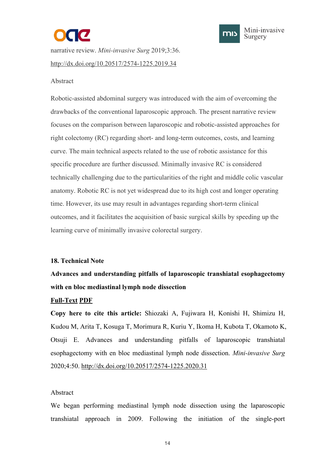



<span id="page-16-0"></span>narrative review. *Mini-invasive Surg* 2019;3:36. <http://dx.doi.org/10.20517/2574-1225.2019.34>

## Abstract

Robotic-assisted abdominal surgery was introduced with the aim of overcoming the drawbacks of the conventional laparoscopic approach. The present narrative review focuses on the comparison between laparoscopic and robotic-assisted approaches for right colectomy (RC) regarding short- and long-term outcomes, costs, and learning curve. The main technical aspects related to the use of robotic assistance for this specific procedure are further discussed. Minimally invasive RC is considered technically challenging due to the particularities of the right and middle colic vascular anatomy. Robotic RC is not yet widespread due to its high cost and longer operating time. However, its use may result in advantages regarding short-term clinical outcomes, and it facilitates the acquisition of basic surgical skills by speeding up the learning curve of minimally invasive colorectal surgery.

#### **18. Technical Note**

**Advances and understanding pitfalls of laparoscopic transhiatal esophagectomy with en bloc mediastinal lymph node dissection**

#### **[Full-Text](https://misjournal.net/article/view/3593) [PDF](https://oaepublishstorage.blob.core.windows.net/b21f7d99-6eeb-4314-8d59-8313a80d10ef/3593.pdf)**

**Copy here to cite this article:** Shiozaki A, Fujiwara H, Konishi H, Shimizu H, Kudou M, Arita T, Kosuga T, Morimura R, Kuriu Y, Ikoma H, Kubota T, Okamoto K, Otsuji E. Advances and understanding pitfalls of laparoscopic transhiatal esophagectomy with en bloc mediastinal lymph node dissection. *Mini-invasive Surg* 2020;4:50. <http://dx.doi.org/10.20517/2574-1225.2020.31>

#### Abstract

We began performing mediastinal lymph node dissection using the laparoscopic transhiatal approach in 2009. Following the initiation of the single-port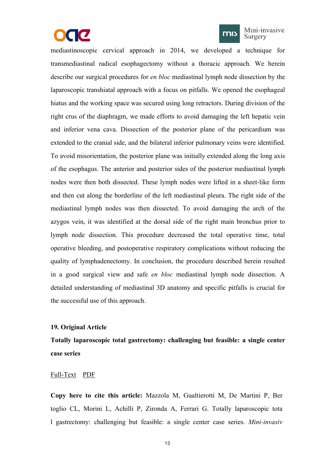



Mini-invasive Surgery

<span id="page-17-0"></span>mediastinoscopic cervical approach in 2014, we developed a technique for transmediastinal radical esophagectomy without a thoracic approach. We herein describe our surgical procedures for *en bloc* mediastinal lymph node dissection by the laparoscopic transhiatal approach with a focus on pitfalls. We opened the esophageal hiatus and the working space was secured using long retractors. During division of the right crus of the diaphragm, we made efforts to avoid damaging the left hepatic vein and inferior vena cava. Dissection of the posterior plane of the pericardium was extended to the cranial side, and the bilateral inferior pulmonary veins were identified. To avoid misorientation, the posterior plane was initially extended along the long axis of the esophagus. The anterior and posterior sides of the posterior mediastinal lymph nodes were then both dissected. These lymph nodes were lifted in a sheet-like form and then cut along the borderline of the left mediastinal pleura. The right side of the mediastinal lymph nodes was then dissected. To avoid damaging the arch of the azygos vein, it was identified at the dorsal side of the right main bronchus prior to lymph node dissection. This procedure decreased the total operative time, total operative bleeding, and postoperative respiratory complications without reducing the quality of lymphadenectomy. In conclusion, the procedure described herein resulted in a good surgical view and safe *en bloc* mediastinal lymph node dissection. A detailed understanding of mediastinal 3D anatomy and specific pitfalls is crucial for the successful use of this approach.

#### **19. Original Article**

**Totally laparoscopic total gastrectomy: challenging but feasible: a single center case series**

#### [Full-Text](https://misjournal.net/article/view/3051) [PDF](https://oaepublishstorage.blob.core.windows.net/8dd620fb-a269-45d5-9800-3b3ecccc274b/3051.pdf)

**Copy here to cite this article:** Mazzola M, Gualtierotti M, De Martini P, Ber toglio CL, Morini L, Achilli P, Zironda A, Ferrari G. Totally laparoscopic tota l gastrectomy: challenging but feasible: a single center case series. *Mini-invasiv*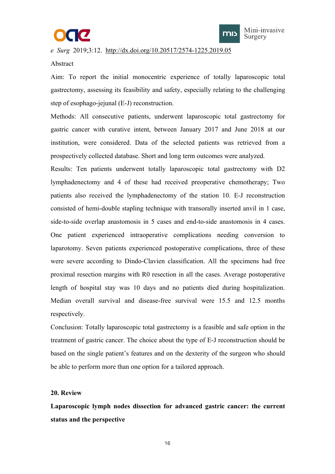



<span id="page-18-0"></span>*e Surg* 2019;3:12. <http://dx.doi.org/10.20517/2574-1225.2019.05>

## Abstract

Aim: To report the initial monocentric experience of totally laparoscopic total gastrectomy, assessing its feasibility and safety, especially relating to the challenging step of esophago-jejunal (E-J) reconstruction.

Methods: All consecutive patients, underwent laparoscopic total gastrectomy for gastric cancer with curative intent, between January 2017 and June 2018 at our institution, were considered. Data of the selected patients was retrieved from a prospectively collected database. Short and long term outcomes were analyzed.

Results: Ten patients underwent totally laparoscopic total gastrectomy with D2 lymphadenectomy and 4 of these had received preoperative chemotherapy; Two patients also received the lymphadenectomy of the station 10. E-J reconstruction consisted of hemi-double stapling technique with transorally inserted anvil in 1 case, side-to-side overlap anastomosis in 5 cases and end-to-side anastomosis in 4 cases. One patient experienced intraoperative complications needing conversion to laparotomy. Seven patients experienced postoperative complications, three of these were severe according to Dindo-Clavien classification. All the specimens had free proximal resection margins with R0 resection in all the cases. Average postoperative length of hospital stay was 10 days and no patients died during hospitalization. Median overall survival and disease-free survival were 15.5 and 12.5 months respectively.

Conclusion: Totally laparoscopic total gastrectomy is a feasible and safe option in the treatment of gastric cancer. The choice about the type of E-J reconstruction should be based on the single patient's features and on the dexterity of the surgeon who should be able to perform more than one option for a tailored approach.

## **20. Review**

**Laparoscopic lymph nodes dissection for advanced gastric cancer: the current status and the perspective**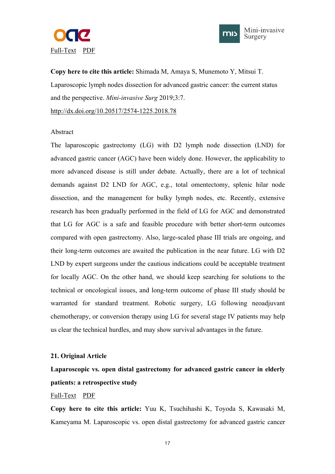<span id="page-19-0"></span>



**Copy here to cite this article:** Shimada M, Amaya S, Munemoto Y, Mitsui T. Laparoscopic lymph nodes dissection for advanced gastric cancer: the current status and the perspective. *Mini-invasive Surg* 2019;3:7. <http://dx.doi.org/10.20517/2574-1225.2018.78>

#### Abstract

The laparoscopic gastrectomy (LG) with D2 lymph node dissection (LND) for advanced gastric cancer (AGC) have been widely done. However, the applicability to more advanced disease is still under debate. Actually, there are a lot of technical demands against D2 LND for AGC, e.g., total omentectomy, splenic hilar node dissection, and the management for bulky lymph nodes, etc. Recently, extensive research has been gradually performed in the field of LG for AGC and demonstrated that LG for AGC is a safe and feasible procedure with better short-term outcomes compared with open gastrectomy. Also, large-scaled phase III trials are ongoing, and their long-term outcomes are awaited the publication in the near future. LG with D2 LND by expert surgeons under the cautious indications could be acceptable treatment for locally AGC. On the other hand, we should keep searching for solutions to the technical or oncological issues, and long-term outcome of phase III study should be warranted for standard treatment. Robotic surgery, LG following neoadjuvant chemotherapy, or conversion therapy using LG for several stage IV patients may help us clear the technical hurdles, and may show survival advantages in the future.

#### **21. Original Article**

# **Laparoscopic vs. open distal gastrectomy for advanced gastric cancer in elderly patients: a retrospective study**

## [Full-Text](https://misjournal.net/article/view/3002) [PDF](https://oaepublishstorage.blob.core.windows.net/9d9e549e-0021-491e-ae87-0e5cc6d73227/3002.pdf)

**Copy here to cite this article:** Yuu K, Tsuchihashi K, Toyoda S, Kawasaki M, Kameyama M. Laparoscopic vs. open distal gastrectomy for advanced gastric cancer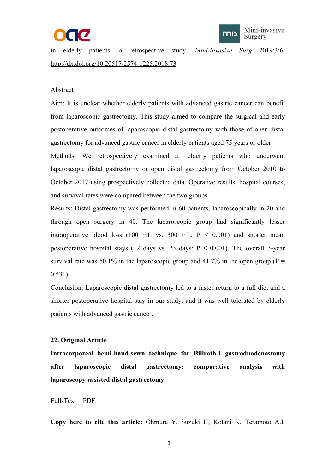



<span id="page-20-0"></span>in elderly patients: a retrospective study. *Mini-invasive Surg* 2019;3:6. <http://dx.doi.org/10.20517/2574-1225.2018.73>

#### Abstract

Aim: It is unclear whether elderly patients with advanced gastric cancer can benefit from laparoscopic gastrectomy. This study aimed to compare the surgical and early postoperative outcomes of laparoscopic distal gastrectomy with those of open distal gastrectomy for advanced gastric cancer in elderly patients aged 75 years orolder.

Methods: We retrospectively examined all elderly patients who underwent laparoscopic distal gastrectomy or open distal gastrectomy from October 2010 to October 2017 using prospectively collected data. Operative results, hospital courses, and survival rates were compared between the two groups.

Results: Distal gastrectomy was performed in 60 patients, laparoscopically in 20 and through open surgery in 40. The laparoscopic group had significantly lesser intraoperative blood loss (100 mL vs. 300 mL;  $P < 0.001$ ) and shorter mean postoperative hospital stays (12 days vs. 23 days;  $P < 0.001$ ). The overall 3-year survival rate was 50.1% in the laparoscopic group and 41.7% in the open group ( $P =$ 0.531).

Conclusion: Laparoscopic distal gastrectomy led to a faster return to a full diet and a shorter postoperative hospital stay in our study, and it was well tolerated by elderly patients with advanced gastric cancer.

#### **22. Original Article**

**Intracorporeal hemi-hand-sewn technique for Billroth-I gastroduodenostomy after laparoscopic distal gastrectomy: comparative analysis with laparoscopy-assisted distal gastrectomy**

## [Full-Text](https://misjournal.net/article/view/2986) [PDF](https://oaepublishstorage.blob.core.windows.net/dee769d6-4034-4034-b4e2-46fe208ef7a8/2986.pdf)

**Copy here to cite this article:** Ohmura Y, Suzuki H, Kotani K, Teramoto A.I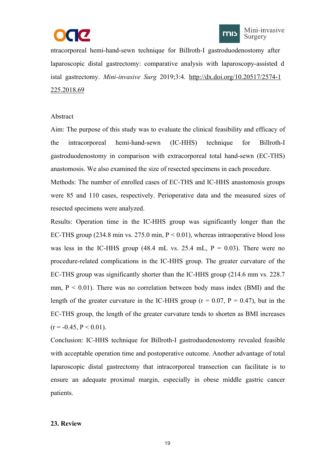



<span id="page-21-0"></span>ntracorporeal hemi-hand-sewn technique for Billroth-I gastroduodenostomy after laparoscopic distal gastrectomy: comparative analysis with laparoscopy-assisted d istal gastrectomy. *Mini-invasive Surg* 2019;3:4. [http://dx.doi.org/10.20517/2574-1](http://dx.doi.org/10.20517/2574-1225.2018.69) 225.2018.69

## Abstract

Aim: The purpose of this study was to evaluate the clinical feasibility and efficacy of the intracorporeal hemi-hand-sewn (IC-HHS) technique for Billroth-I gastroduodenostomy in comparison with extracorporeal total hand-sewn (EC-THS) anastomosis. We also examined the size of resected specimens in each procedure.

Methods: The number of enrolled cases of EC-THS and IC-HHS anastomosis groups were 85 and 110 cases, respectively. Perioperative data and the measured sizes of resected specimens were analyzed.

Results: Operation time in the IC-HHS group was significantly longer than the EC-THS group (234.8 min vs. 275.0 min,  $P < 0.01$ ), whereas intraoperative blood loss was less in the IC-HHS group (48.4 mL vs. 25.4 mL,  $P = 0.03$ ). There were no procedure-related complications in the IC-HHS group. The greater curvature of the EC-THS group was significantly shorter than the IC-HHS group (214.6 mm vs. 228.7 mm,  $P \leq 0.01$ ). There was no correlation between body mass index (BMI) and the length of the greater curvature in the IC-HHS group ( $r = 0.07$ ,  $P = 0.47$ ), but in the EC-THS group, the length of the greater curvature tends to shorten as BMI increases  $(r = -0.45, P \le 0.01)$ .

Conclusion: IC-HHS technique for Billroth-I gastroduodenostomy revealed feasible with acceptable operation time and postoperative outcome. Another advantage of total laparoscopic distal gastrectomy that intracorporeal transection can facilitate is to ensure an adequate proximal margin, especially in obese middle gastric cancer patients.

#### **23. Review**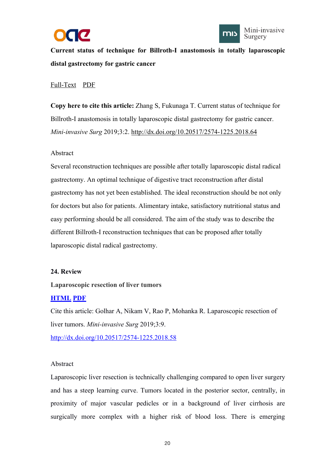



<span id="page-22-0"></span>**Current status of technique for Billroth-I anastomosis in totally laparoscopic distal gastrectomy for gastric cancer**

## [Full-Text](https://misjournal.net/article/view/2946) [PDF](https://oaepublishstorage.blob.core.windows.net/09291281-fd2f-411d-ac84-ec5483913a9a/2946.pdf)

**Copy** here to cite this article: Zhang S, Fukunaga T. Current status of technique for Billroth-I anastomosis in totally laparoscopic distal gastrectomy for gastric cancer. *Mini-invasive Surg* 2019;3:2. <http://dx.doi.org/10.20517/2574-1225.2018.64>

## Abstract

Several reconstruction techniques are possible after totally laparoscopic distal radical gastrectomy. An optimal technique of digestive tract reconstruction after distal gastrectomy has not yet been established. The ideal reconstruction should be not only for doctors but also for patients. Alimentary intake, satisfactory nutritional status and easy performing should be all considered. The aim of the study was to describe the different Billroth-I reconstruction techniques that can be proposed after totally laparoscopic distal radical gastrectomy.

## **24. Review**

## **Laparoscopic resection of liver tumors**

## **[HTML](https://misjournal.net/article/view/3036) [PDF](https://oaepublishstorage.blob.core.windows.net/2c3b7659-d97a-43bc-813a-0c3d3881e375/3036.pdf)**

Cite this article: Golhar A, Nikam V, Rao P, Mohanka R. Laparoscopic resection of liver tumors. *Mini-invasive Surg* 2019;3:9. <http://dx.doi.org/10.20517/2574-1225.2018.58>

#### Abstract

Laparoscopic liver resection is technically challenging compared to open liver surgery and has a steep learning curve. Tumors located in the posterior sector, centrally, in proximity of major vascular pedicles or in abackground of liver cirrhosis are surgically more complex with a higher risk of blood loss. There is emerging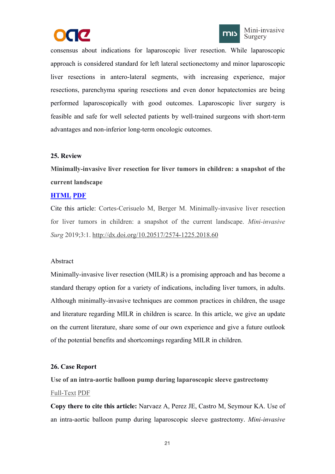



<span id="page-23-0"></span>consensus about indications for laparoscopic liver resection. While laparoscopic approach is considered standard for left lateral sectionectomy and minor laparoscopic liver resections in antero-lateral segments, with increasing experience, major resections, parenchyma sparing resections and even donor hepatectomies are being performed laparoscopically with good outcomes. Laparoscopic liver surgery is feasible and safe for well selected patients by well-trained surgeons with short-term advantages and non-inferior long-term oncologic outcomes.

## **25. Review**

**Minimally-invasive liver resection for liver tumors in children: a snapshot of the current landscape**

## **[HTML](https://misjournal.net/article/view/2941) [PDF](https://oaepublishstorage.blob.core.windows.net/a760370a-713c-4088-8328-63fd83bd0b05/2941.pdf)**

Cite this article: Cortes-Cerisuelo M, Berger M. Minimally-invasive liver resection for liver tumors in children: a snapshot of the current landscape. *Mini-invasive Surg* 2019;3:1. <http://dx.doi.org/10.20517/2574-1225.2018.60>

## Abstract

Minimally-invasive liver resection (MILR) is a promising approach and has become a standard therapy option for a variety of indications, including liver tumors, in adults. Although minimally-invasive techniques are common practices in children, the usage and literature regarding MILR in children is scarce. In this article, we give an update on the current literature, share some of our own experience and give a future outlook of the potential benefits and shortcomings regarding MILR in children.

## **26. Case Report**

**Use of an intra-aortic balloon pump during laparoscopic sleeve gastrectomy** [Full-Text](https://misjournal.net/article/view/3467) [PDF](https://oaepublishstorage.blob.core.windows.net/5dd4784c-22dc-4efc-a176-c07e7343601a/3467.pdf)

**Copy there to cite this article:** Narvaez A, Perez JE, Castro M, Seymour KA. Use of an intra-aortic balloon pump during laparoscopic sleeve gastrectomy. *Mini-invasive*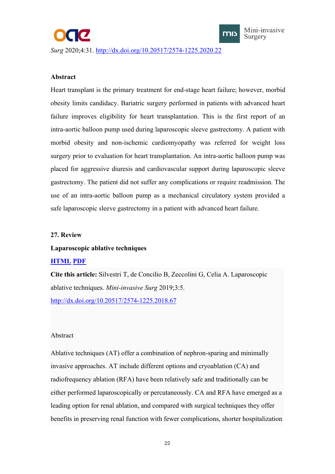<span id="page-24-0"></span>*Surg* 2020;4:31. <http://dx.doi.org/10.20517/2574-1225.2020.22>



Mini-invasive Surgery

## **Abstract**

Heart transplant is the primary treatment for end-stage heart failure; however, morbid obesity limits candidacy. Bariatric surgery performed in patients with advanced heart failure improves eligibility for heart transplantation. This is the first report of an intra-aortic balloon pump used during laparoscopic sleeve gastrectomy. A patient with morbid obesity and non-ischemic cardiomyopathy was referred for weight loss surgery prior to evaluation for heart transplantation. An intra-aortic balloon pump was placed for aggressive diuresis and cardiovascular support during laparoscopic sleeve gastrectomy. The patient did not suffer any complications or require readmission. The use of an intra-aortic balloon pump as a mechanical circulatory system provided a safe laparoscopic sleeve gastrectomy in a patient with advanced heart failure.

## **27. Review**

#### **Laparoscopic ablative techniques**

#### **[HTML](https://misjournal.net/article/view/2990) [PDF](https://misjournal.net/article/download/2990)**

**Cite this article:** Silvestri T, de Concilio B, Zeccolini G, Celia A. Laparoscopic ablative techniques. *Mini-invasive Surg* 2019;3:5. <http://dx.doi.org/10.20517/2574-1225.2018.67>

#### Abstract

Ablative techniques (AT) offer a combination of nephron-sparing and minimally invasive approaches. AT include different options and cryoablation (CA) and radiofrequency ablation (RFA) have been relatively safe and traditionally can be either performed laparoscopically or percutaneously. CA and RFA have emerged as a leading option for renal ablation, and compared with surgical techniques they offer benefits in preserving renal function with fewer complications, shorter hospitalization